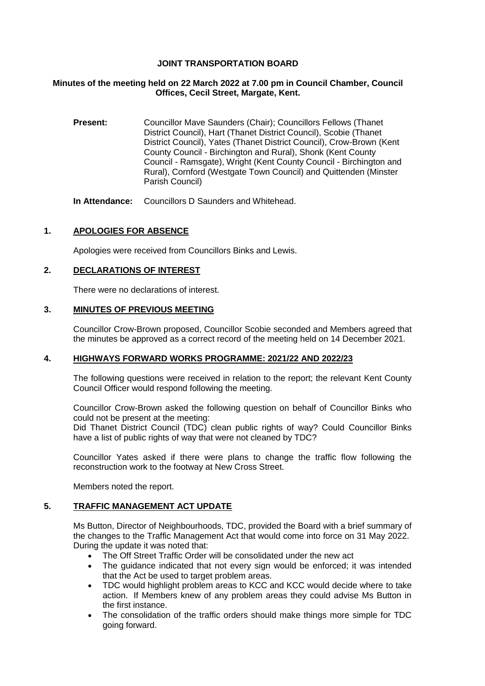## **JOINT TRANSPORTATION BOARD**

#### **Minutes of the meeting held on 22 March 2022 at 7.00 pm in Council Chamber, Council Offices, Cecil Street, Margate, Kent.**

**Present:** Councillor Mave Saunders (Chair); Councillors Fellows (Thanet District Council), Hart (Thanet District Council), Scobie (Thanet District Council), Yates (Thanet District Council), Crow-Brown (Kent County Council - Birchington and Rural), Shonk (Kent County Council - Ramsgate), Wright (Kent County Council - Birchington and Rural), Cornford (Westgate Town Council) and Quittenden (Minster Parish Council)

**In Attendance:** Councillors D Saunders and Whitehead.

## **1. APOLOGIES FOR ABSENCE**

Apologies were received from Councillors Binks and Lewis.

## **2. DECLARATIONS OF INTEREST**

There were no declarations of interest.

#### **3. MINUTES OF PREVIOUS MEETING**

Councillor Crow-Brown proposed, Councillor Scobie seconded and Members agreed that the minutes be approved as a correct record of the meeting held on 14 December 2021.

#### **4. HIGHWAYS FORWARD WORKS PROGRAMME: 2021/22 AND 2022/23**

The following questions were received in relation to the report; the relevant Kent County Council Officer would respond following the meeting.

Councillor Crow-Brown asked the following question on behalf of Councillor Binks who could not be present at the meeting:

Did Thanet District Council (TDC) clean public rights of way? Could Councillor Binks have a list of public rights of way that were not cleaned by TDC?

Councillor Yates asked if there were plans to change the traffic flow following the reconstruction work to the footway at New Cross Street.

Members noted the report.

#### **5. TRAFFIC MANAGEMENT ACT UPDATE**

Ms Button, Director of Neighbourhoods, TDC, provided the Board with a brief summary of the changes to the Traffic Management Act that would come into force on 31 May 2022. During the update it was noted that:

- The Off Street Traffic Order will be consolidated under the new act
- The guidance indicated that not every sign would be enforced; it was intended that the Act be used to target problem areas.
- TDC would highlight problem areas to KCC and KCC would decide where to take action. If Members knew of any problem areas they could advise Ms Button in the first instance.
- The consolidation of the traffic orders should make things more simple for TDC going forward.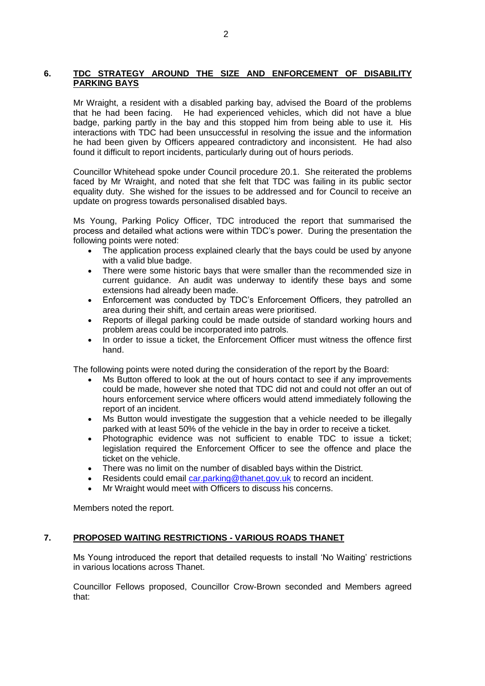#### **6. TDC STRATEGY AROUND THE SIZE AND ENFORCEMENT OF DISABILITY PARKING BAYS**

Mr Wraight, a resident with a disabled parking bay, advised the Board of the problems that he had been facing. He had experienced vehicles, which did not have a blue badge, parking partly in the bay and this stopped him from being able to use it. His interactions with TDC had been unsuccessful in resolving the issue and the information he had been given by Officers appeared contradictory and inconsistent. He had also found it difficult to report incidents, particularly during out of hours periods.

Councillor Whitehead spoke under Council procedure 20.1. She reiterated the problems faced by Mr Wraight, and noted that she felt that TDC was failing in its public sector equality duty. She wished for the issues to be addressed and for Council to receive an update on progress towards personalised disabled bays.

Ms Young, Parking Policy Officer, TDC introduced the report that summarised the process and detailed what actions were within TDC's power. During the presentation the following points were noted:

- The application process explained clearly that the bays could be used by anyone with a valid blue badge.
- There were some historic bays that were smaller than the recommended size in current guidance. An audit was underway to identify these bays and some extensions had already been made.
- Enforcement was conducted by TDC's Enforcement Officers, they patrolled an area during their shift, and certain areas were prioritised.
- Reports of illegal parking could be made outside of standard working hours and problem areas could be incorporated into patrols.
- In order to issue a ticket, the Enforcement Officer must witness the offence first hand.

The following points were noted during the consideration of the report by the Board:

- Ms Button offered to look at the out of hours contact to see if any improvements could be made, however she noted that TDC did not and could not offer an out of hours enforcement service where officers would attend immediately following the report of an incident.
- Ms Button would investigate the suggestion that a vehicle needed to be illegally parked with at least 50% of the vehicle in the bay in order to receive a ticket.
- Photographic evidence was not sufficient to enable TDC to issue a ticket; legislation required the Enforcement Officer to see the offence and place the ticket on the vehicle.
- There was no limit on the number of disabled bays within the District.
- Residents could email [car.parking@thanet.gov.uk](mailto:car.parking@thanet.gov.uk) to record an incident.
- Mr Wraight would meet with Officers to discuss his concerns.

Members noted the report.

#### **7. PROPOSED WAITING RESTRICTIONS - VARIOUS ROADS THANET**

Ms Young introduced the report that detailed requests to install 'No Waiting' restrictions in various locations across Thanet.

Councillor Fellows proposed, Councillor Crow-Brown seconded and Members agreed that: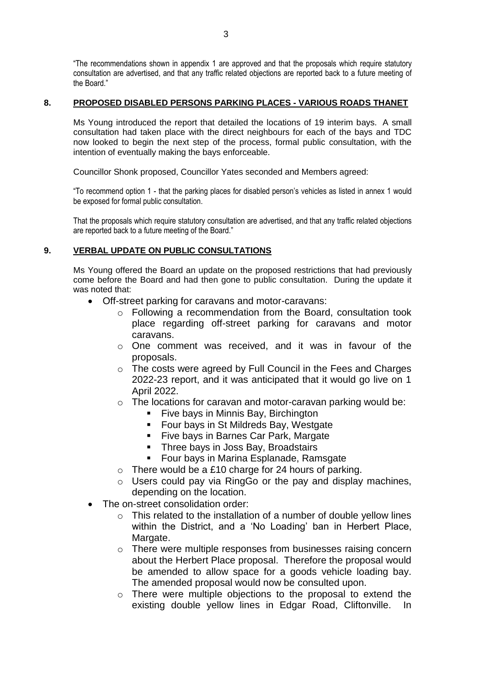"The recommendations shown in appendix 1 are approved and that the proposals which require statutory consultation are advertised, and that any traffic related objections are reported back to a future meeting of the Board."

#### **8. PROPOSED DISABLED PERSONS PARKING PLACES - VARIOUS ROADS THANET**

Ms Young introduced the report that detailed the locations of 19 interim bays. A small consultation had taken place with the direct neighbours for each of the bays and TDC now looked to begin the next step of the process, formal public consultation, with the intention of eventually making the bays enforceable.

Councillor Shonk proposed, Councillor Yates seconded and Members agreed:

"To recommend option 1 - that the parking places for disabled person's vehicles as listed in annex 1 would be exposed for formal public consultation.

That the proposals which require statutory consultation are advertised, and that any traffic related objections are reported back to a future meeting of the Board."

# **9. VERBAL UPDATE ON PUBLIC CONSULTATIONS**

Ms Young offered the Board an update on the proposed restrictions that had previously come before the Board and had then gone to public consultation. During the update it was noted that:

- Off-street parking for caravans and motor-caravans:
	- o Following a recommendation from the Board, consultation took place regarding off-street parking for caravans and motor caravans.
	- o One comment was received, and it was in favour of the proposals.
	- o The costs were agreed by Full Council in the Fees and Charges 2022-23 report, and it was anticipated that it would go live on 1 April 2022.
	- $\circ$  The locations for caravan and motor-caravan parking would be:
		- **Five bays in Minnis Bay, Birchington**
		- **Four bays in St Mildreds Bay, Westgate**
		- **Five bays in Barnes Car Park, Margate**
		- **Three bays in Joss Bay, Broadstairs**
		- Four bays in Marina Esplanade, Ramsgate
	- $\circ$  There would be a £10 charge for 24 hours of parking.
	- o Users could pay via RingGo or the pay and display machines, depending on the location.
- The on-street consolidation order:
	- $\circ$  This related to the installation of a number of double yellow lines within the District, and a 'No Loading' ban in Herbert Place, Margate.
	- o There were multiple responses from businesses raising concern about the Herbert Place proposal. Therefore the proposal would be amended to allow space for a goods vehicle loading bay. The amended proposal would now be consulted upon.
	- o There were multiple objections to the proposal to extend the existing double yellow lines in Edgar Road, Cliftonville. In